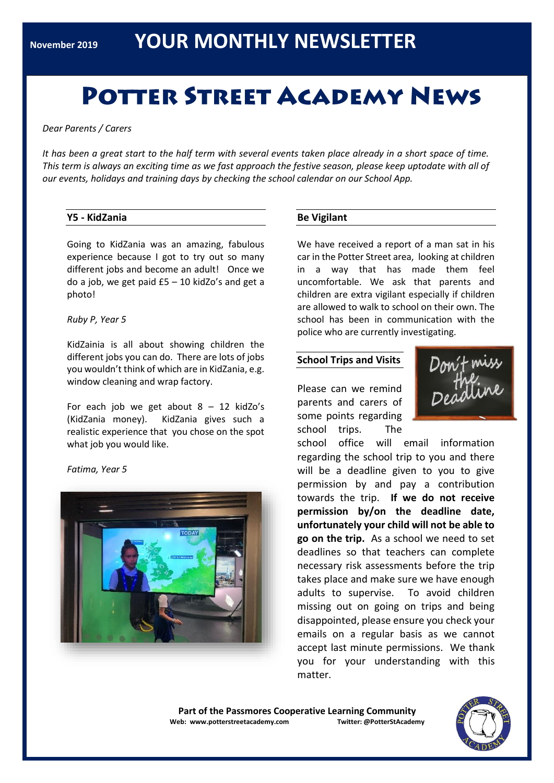# **POTTER STREET ACADEMY NEWS**

*Dear Parents / Carers*

*It has been a great start to the half term with several events taken place already in a short space of time. This term is always an exciting time as we fast approach the festive season, please keep uptodate with all of our events, holidays and training days by checking the school calendar on our School App.*

# **Y5 - KidZania**

Going to KidZania was an amazing, fabulous experience because I got to try out so many different jobs and become an adult! Once we do a job, we get paid £5 – 10 kidZo's and get a photo!

#### *Ruby P, Year 5*

KidZainia is all about showing children the different jobs you can do. There are lots of jobs you wouldn't think of which are in KidZania, e.g. window cleaning and wrap factory.

For each job we get about  $8 - 12$  kidZo's (KidZania money). KidZania gives such a realistic experience that you chose on the spot what job you would like.

*Fatima, Year 5*



# **Be Vigilant**

We have received a report of a man sat in his car in the Potter Street area, looking at children in a way that has made them feel uncomfortable. We ask that parents and children are extra vigilant especially if children are allowed to walk to school on their own. The school has been in communication with the police who are currently investigating.

# **School Trips and Visits**

Please can we remind parents and carers of some points regarding school trips. The



school office will email information regarding the school trip to you and there will be a deadline given to you to give permission by and pay a contribution towards the trip. **If we do not receive permission by/on the deadline date, unfortunately your child will not be able to go on the trip.** As a school we need to set deadlines so that teachers can complete necessary risk assessments before the trip takes place and make sure we have enough adults to supervise. To avoid children missing out on going on trips and being disappointed, please ensure you check your emails on a regular basis as we cannot accept last minute permissions. We thank you for your understanding with this matter.

**Part of the Passmores Cooperative Learning Community Web: www.potterstreetacademy.com Twitter: @PotterStAcademy**

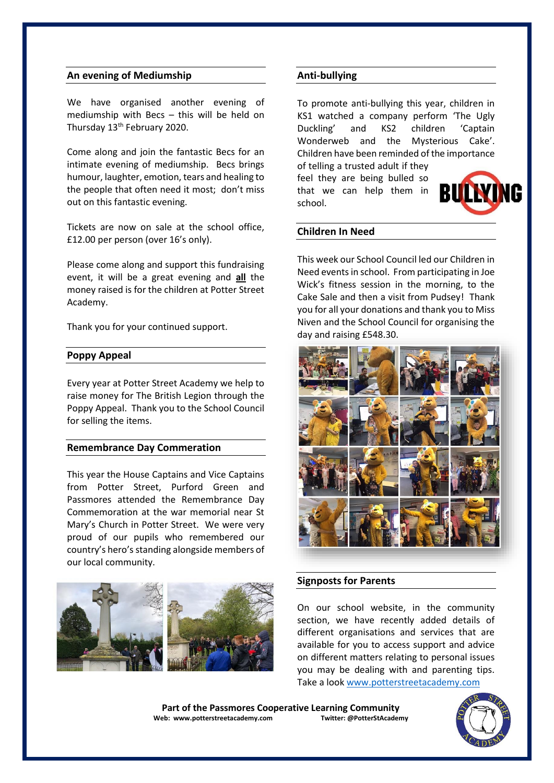#### **An evening of Mediumship**

We have organised another evening of mediumship with Becs – this will be held on Thursday 13<sup>th</sup> February 2020.

Come along and join the fantastic Becs for an intimate evening of mediumship. Becs brings humour, laughter, emotion, tears and healing to the people that often need it most; don't miss out on this fantastic evening.

Tickets are now on sale at the school office, £12.00 per person (over 16's only).

Please come along and support this fundraising event, it will be a great evening and **all** the money raised is for the children at Potter Street Academy.

Thank you for your continued support.

#### **Poppy Appeal**

Every year at Potter Street Academy we help to raise money for The British Legion through the Poppy Appeal. Thank you to the School Council for selling the items.

#### **Remembrance Day Commeration**

This year the House Captains and Vice Captains from Potter Street, Purford Green and Passmores attended the Remembrance Day Commemoration at the war memorial near St Mary's Church in Potter Street. We were very proud of our pupils who remembered our country's hero's standing alongside members of our local community.



#### **Anti-bullying**

To promote anti-bullying this year, children in KS1 watched a company perform 'The Ugly Duckling' and KS2 children 'Captain Wonderweb and the Mysterious Cake'. Children have been reminded of the importance

of telling a trusted adult if they feel they are being bulled so that we can help them in school.



#### **Children In Need**

This week our School Council led our Children in Need events in school. From participating in Joe Wick's fitness session in the morning, to the Cake Sale and then a visit from Pudsey! Thank you for all your donations and thank you to Miss Niven and the School Council for organising the day and raising £548.30.



#### **Signposts for Parents**

On our school website, in the community section, we have recently added details of different organisations and services that are available for you to access support and advice on different matters relating to personal issues you may be dealing with and parenting tips. Take a loo[k www.potterstreetacademy.com](http://www.potterstreetacademy.com/)

Part of the Passmores Cooperative Learning Community<br>eb: www.potterstreetacademy.com **Twitter:** @PotterStAcademy **Web: www.potterstreetacademy.com** 

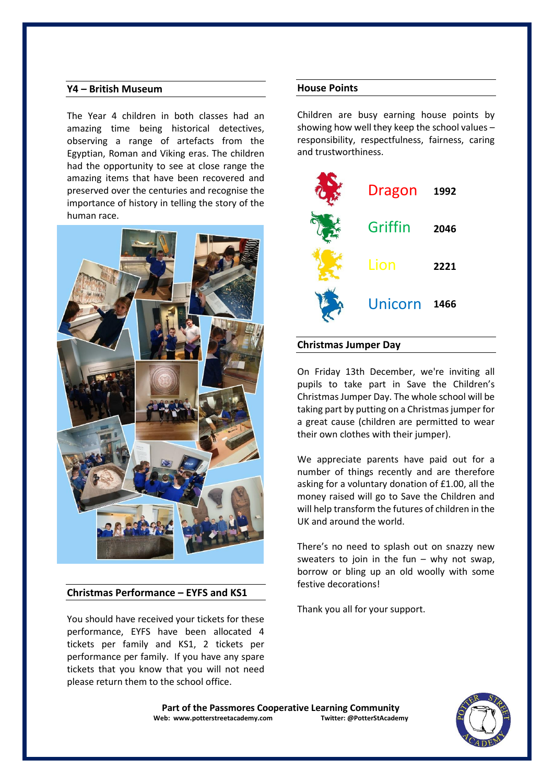# **Y4 – British Museum**

The Year 4 children in both classes had an amazing time being historical detectives, observing a range of artefacts from the Egyptian, Roman and Viking eras. The children had the opportunity to see at close range the amazing items that have been recovered and preserved over the centuries and recognise the importance of history in telling the story of the human race.



# **Christmas Performance – EYFS and KS1**

You should have received your tickets for these performance, EYFS have been allocated 4 tickets per family and KS1, 2 tickets per performance per family. If you have any spare tickets that you know that you will not need please return them to the school office.

### **House Points**

Children are busy earning house points by showing how well they keep the school values – responsibility, respectfulness, fairness, caring and trustworthiness.



# **Christmas Jumper Day**

On Friday 13th December, we're inviting all pupils to take part in Save the Children's Christmas Jumper Day. The whole school will be taking part by putting on a Christmas jumper for a great cause (children are permitted to wear their own clothes with their jumper).

We appreciate parents have paid out for a number of things recently and are therefore asking for a voluntary donation of £1.00, all the money raised will go to Save the Children and will help transform the futures of children in the UK and around the world.

There's no need to splash out on snazzy new sweaters to join in the fun  $-$  why not swap, borrow or bling up an old woolly with some festive decorations!

Thank you all for your support.

Part of the Passmores Cooperative Learning Community<br>eb: www.potterstreetacademy.com **Twitter:** @PotterStAcademy **Web: www.potterstreetacademy.com** 

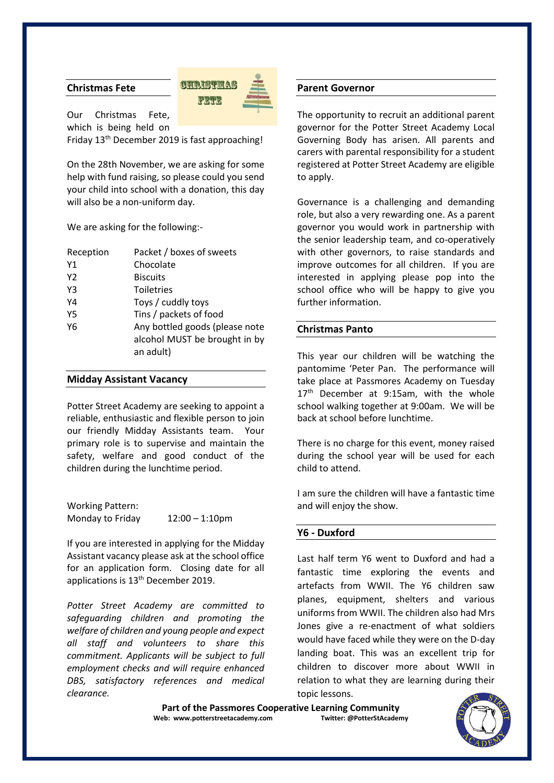# **Christmas Fete**



Our Christmas Fete, which is being held on

Friday 13th December 2019 is fast approaching!

On the 28th November, we are asking for some help with fund raising, so please could you send your child into school with a donation, this day will also be a non-uniform day.

We are asking for the following:-

| Reception | Packet / boxes of sweets                                                     |
|-----------|------------------------------------------------------------------------------|
| Υ1        | Chocolate                                                                    |
| Y2        | <b>Biscuits</b>                                                              |
| Y3        | <b>Toiletries</b>                                                            |
| Y4        | Toys / cuddly toys                                                           |
| Y5        | Tins / packets of food                                                       |
| Y6        | Any bottled goods (please note<br>alcohol MUST be brought in by<br>an adult) |

#### **Midday Assistant Vacancy**

Potter Street Academy are seeking to appoint a reliable, enthusiastic and flexible person to join our friendly Midday Assistants team. Your primary role is to supervise and maintain the safety, welfare and good conduct of the children during the lunchtime period.

Working Pattern: Monday to Friday 12:00 – 1:10pm

If you are interested in applying for the Midday Assistant vacancy please ask at the school office for an application form. Closing date for all applications is 13<sup>th</sup> December 2019.

*Potter Street Academy are committed to safeguarding children and promoting the welfare of children and young people and expect all staff and volunteers to share this commitment. Applicants will be subject to full employment checks and will require enhanced DBS, satisfactory references and medical clearance.*

#### **Parent Governor**

The opportunity to recruit an additional parent governor for the Potter Street Academy Local Governing Body has arisen. All parents and carers with parental responsibility for a student registered at Potter Street Academy are eligible to apply.

Governance is a challenging and demanding role, but also a very rewarding one. As a parent governor you would work in partnership with the senior leadership team, and co-operatively with other governors, to raise standards and improve outcomes for all children. If you are interested in applying please pop into the school office who will be happy to give you further information.

# **Christmas Panto**

This year our children will be watching the pantomime 'Peter Pan. The performance will take place at Passmores Academy on Tuesday 17<sup>th</sup> December at 9:15am, with the whole school walking together at 9:00am. We will be back at school before lunchtime.

There is no charge for this event, money raised during the school year will be used for each child to attend.

I am sure the children will have a fantastic time and will enjoy the show.

#### **Y6 - Duxford**

Last half term Y6 went to Duxford and had a fantastic time exploring the events and artefacts from WWII. The Y6 children saw planes, equipment, shelters and various uniforms from WWII. The children also had Mrs Jones give a re-enactment of what soldiers would have faced while they were on the D-day landing boat. This was an excellent trip for children to discover more about WWII in relation to what they are learning during their topic lessons.

Part of the Passmores Cooperative Learning Community<br>eb: www.potterstreetacademy.com **Twitter:** @PotterStAcademy **Web: www.potterstreetacademy.com**